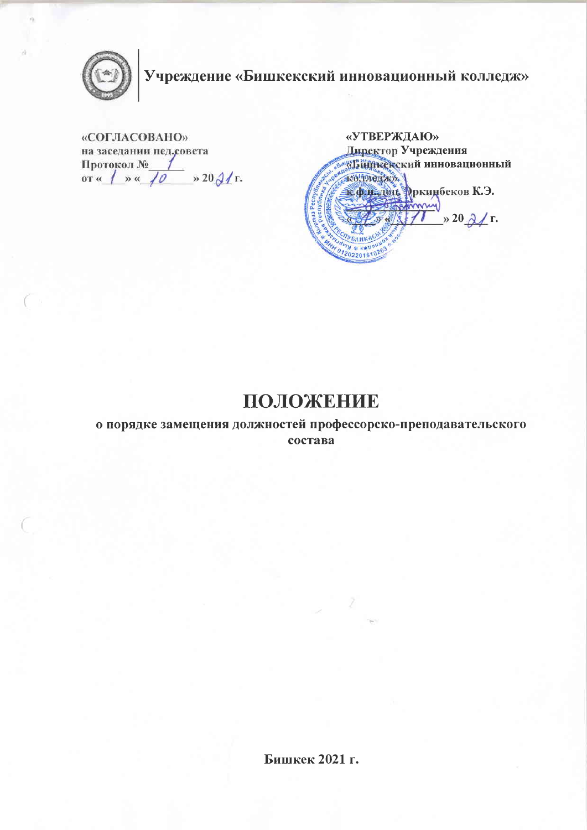

# Учреждение «Бишкекский инновационный колледж»

«СОГЛАСОВАНО» на заседании пед.совета Протокол № 1<br>oт « 1 » « 70 » 20 91 г.

«УТВЕРЖДАЮ» Директор Учреждения **УБШИКСКСКИЙ ИННОВАЦИОННЫЙ** колленжух. R. Ф. Г. 1914 Рркинбеков К.Э. monny  $\rightarrow$  20  $\lambda$  r. **SAME SE WWW DU** 01202201610263

## ПОЛОЖЕНИЕ

о порядке замещения должностей профессорско-преподавательского состава

Бишкек 2021 г.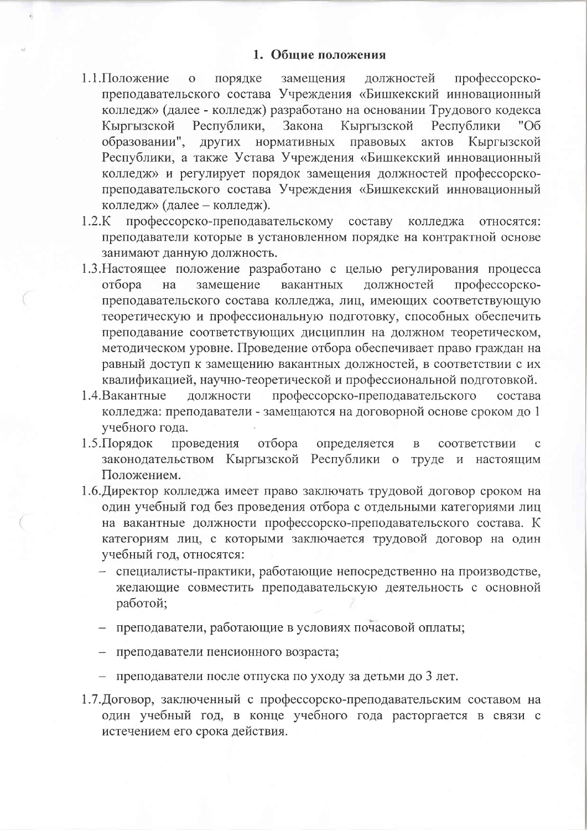#### 1. Общие положения

- 1.1. Положение порядке замещения должностей профессорско- $\overline{O}$ преподавательского состава Учреждения «Бишкекский инновационный колледж» (далее - колледж) разработано на основании Трудового кодекса Республики, Закона Кыргызской Кыргызской Республики "06 образовании", других нормативных правовых актов Кыргызской Республики, а также Устава Учреждения «Бишкекский инновационный колледж» и регулирует порядок замещения должностей профессорскопреподавательского состава Учреждения «Бишкекский инновационный колледж» (далее - колледж).
- $1.2.K$ профессорско-преподавательскому составу колледжа относятся: преподаватели которые в установленном порядке на контрактной основе занимают данную должность.
- 1.3. Настоящее положение разработано с целью регулирования процесса замешение должностей профессорскоотбора на вакантных преподавательского состава колледжа, лиц, имеющих соответствующую теоретическую и профессиональную подготовку, способных обеспечить преподавание соответствующих дисциплин на должном теоретическом, методическом уровне. Проведение отбора обеспечивает право граждан на равный доступ к замещению вакантных должностей, в соответствии с их квалификацией, научно-теоретической и профессиональной подготовкой.
- должности профессорско-преподавательского 1.4. Вакантные состава колледжа: преподаватели - замещаются на договорной основе сроком до 1 учебного года.
- 1.5. Порядок проведения отбора определяется  $\overline{B}$ соответствии  $\mathbf C$ законодательством Кыргызской Республики о труде и настоящим Положением.
- 1.6. Директор колледжа имеет право заключать трудовой договор сроком на один учебный год без проведения отбора с отдельными категориями лиц на вакантные должности профессорско-преподавательского состава. К категориям лиц, с которыми заключается трудовой договор на один учебный год, относятся:
	- специалисты-практики, работающие непосредственно на производстве, желающие совместить преподавательскую деятельность с основной работой;
	- преподаватели, работающие в условиях почасовой оплаты;
	- преподаватели пенсионного возраста;
	- преподаватели после отпуска по уходу за детьми до 3 лет.
- 1.7. Договор, заключенный с профессорско-преподавательским составом на один учебный год, в конце учебного года расторгается в связи с истечением его срока действия.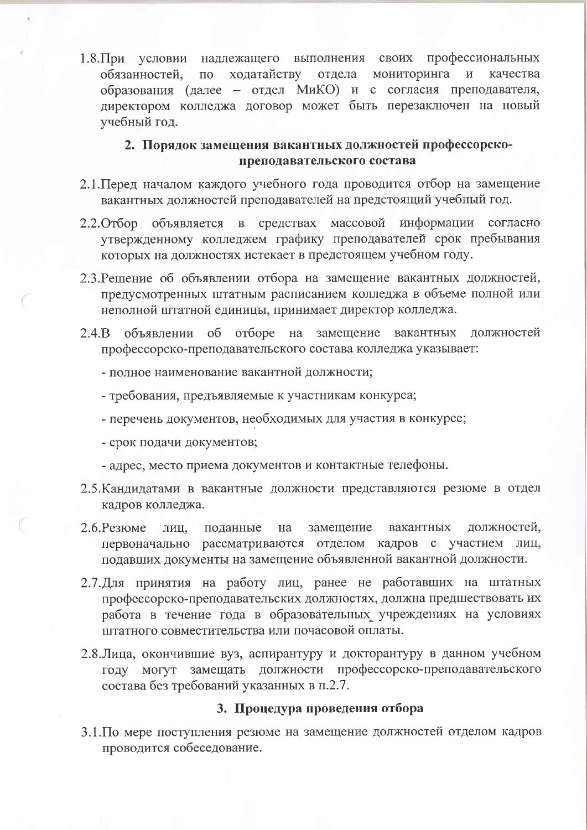1.8. При условии надлежащего выполнения своих профессиональных ходатайству мониторинга обязанностей,  $\Pi$ <sup>O</sup> отдела  $\overline{M}$ качества образования (далее - отдел МиКО) и с согласия преподавателя, директором колледжа договор может быть перезаключен на новый учебный год.

### 2. Порядок замещения вакантных должностей профессорскопреподавательского состава

- 2.1. Перед началом каждого учебного года проводится отбор на замещение вакантных должностей преподавателей на предстоящий учебный год.
- объявляется в средствах массовой информации согласно  $2.2.$  Orbop утвержденному колледжем графику преподавателей срок пребывания которых на должностях истекает в предстоящем учебном году.
- 2.3. Решение об объявлении отбора на замещение вакантных должностей, предусмотренных штатным расписанием колледжа в объеме полной или неполной штатной единицы, принимает директор колледжа.
- объявлении об отборе на замещение вакантных  $2.4.B$ должностей профессорско-преподавательского состава колледжа указывает:
	- полное наименование вакантной должности;
	- требования, предъявляемые к участникам конкурса;
	- перечень документов, необходимых для участия в конкурсе;
	- срок подачи документов;
	- адрес, место приема документов и контактные телефоны.
- 2.5. Кандидатами в вакантные должности представляются резюме в отдел кадров колледжа.
- $2.6$ . Резюме должностей, замещение вакантных лиц. поданные на первоначально рассматриваются отделом кадров с участием лиц, подавших документы на замещение объявленной вакантной должности.
- 2.7. Для принятия на работу лиц, ранее не работавших на штатных профессорско-преподавательских должностях, должна предшествовать их работа в течение года в образовательных учреждениях на условиях штатного совместительства или почасовой оплаты.
- 2.8. Лица, окончившие вуз, аспирантуру и докторантуру в данном учебном году могут замещать должности профессорско-преподавательского состава без требований указанных в п.2.7.

#### 3. Процедура проведения отбора

3.1. По мере поступления резюме на замещение должностей отделом кадров проводится собеседование.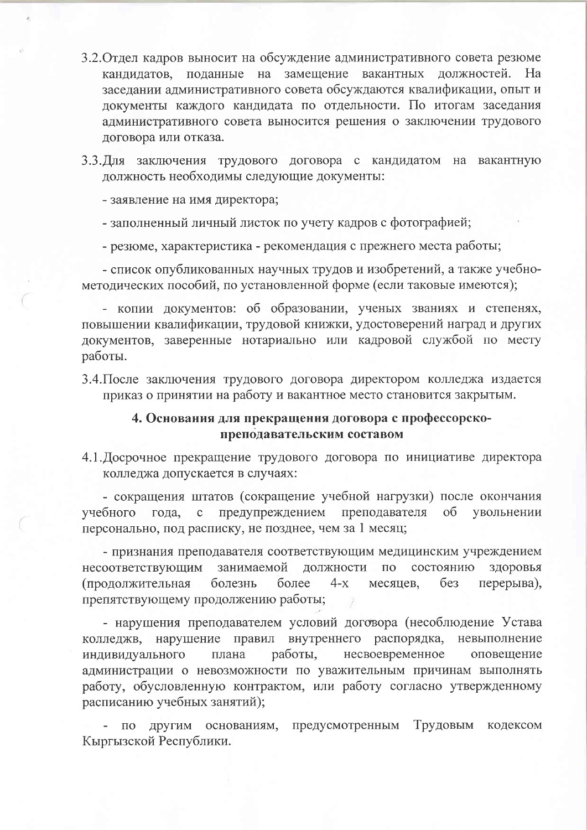- 3.2. Отдел кадров выносит на обсуждение административного совета резюме кандидатов, поданные на замещение вакантных должностей. Ha заседании административного совета обсуждаются квалификации, опыт и документы каждого кандидата по отдельности. По итогам заседания административного совета выносится решения о заключении трудового договора или отказа.
- 3.3. Для заключения трудового договора с кандидатом на вакантную должность необходимы следующие документы:
	- заявление на имя директора;
	- заполненный личный листок по учету кадров с фотографией;

- резюме, характеристика - рекомендация с прежнего места работы;

- список опубликованных научных трудов и изобретений, а также учебнометодических пособий, по установленной форме (если таковые имеются);

- копии документов: об образовании, ученых званиях и степенях, повышении квалификации, трудовой книжки, удостоверений наград и других документов, заверенные нотариально или кадровой службой по месту работы.

3.4. После заключения трудового договора директором колледжа издается приказ о принятии на работу и вакантное место становится закрытым.

#### 4. Основания для прекращения договора с профессорскопреподавательским составом

4.1. Досрочное прекращение трудового договора по инициативе директора колледжа допускается в случаях:

- сокращения штатов (сокращение учебной нагрузки) после окончания предупреждением преподавателя учебного года,  $\overline{00}$ увольнении  $\ddot{\text{c}}$ персонально, под расписку, не позднее, чем за 1 месяц;

- признания преподавателя соответствующим медицинским учреждением занимаемой лолжности состоянию несоответствующим  $\Pi$ <sup>O</sup> здоровья  $6e<sub>3</sub>$ болезнь более  $4-x$ перерыва), (продолжительная месяцев. препятствующему продолжению работы;

- нарушения преподавателем условий договора (несоблюдение Устава колледжв, нарушение правил внутреннего распорядка, невыполнение индивидуального плана работы, несвоевременное оповещение администрации о невозможности по уважительным причинам выполнять работу, обусловленную контрактом, или работу согласно утвержденному расписанию учебных занятий);

основаниям, предусмотренным Трудовым кодексом другим  $\Pi$ O Кыргызской Республики.